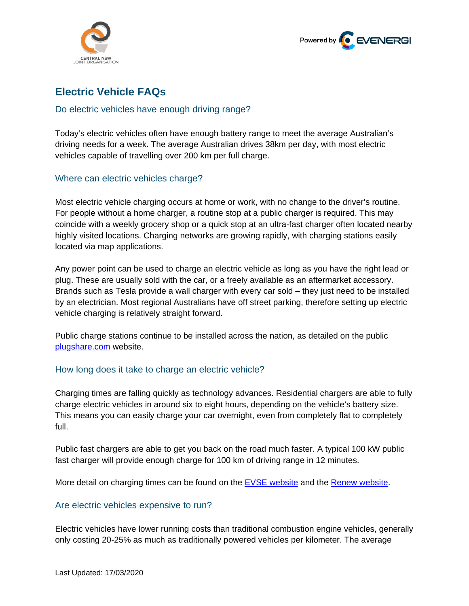



# **Electric Vehicle FAQs**

## Do electric vehicles have enough driving range?

Today's electric vehicles often have enough battery range to meet the average Australian's driving needs for a week. The average Australian drives 38km per day, with most electric vehicles capable of travelling over 200 km per full charge.

## Where can electric vehicles charge?

Most electric vehicle charging occurs at home or work, with no change to the driver's routine. For people without a home charger, a routine stop at a public charger is required. This may coincide with a weekly grocery shop or a quick stop at an ultra-fast charger often located nearby highly visited locations. Charging networks are growing rapidly, with charging stations easily located via map applications.

Any power point can be used to charge an electric vehicle as long as you have the right lead or plug. These are usually sold with the car, or a freely available as an aftermarket accessory. Brands such as Tesla provide a wall charger with every car sold – they just need to be installed by an electrician. Most regional Australians have off street parking, therefore setting up electric vehicle charging is relatively straight forward.

Public charge stations continue to be installed across the nation, as detailed on the public [plugshare.com](http://www.plugshare.com/) website.

## How long does it take to charge an electric vehicle?

Charging times are falling quickly as technology advances. Residential chargers are able to fully charge electric vehicles in around six to eight hours, depending on the vehicle's battery size. This means you can easily charge your car overnight, even from completely flat to completely full.

Public fast chargers are able to get you back on the road much faster. A typical 100 kW public fast charger will provide enough charge for 100 km of driving range in 12 minutes.

More detail on charging times can be found on the **EVSE** website and the [Renew website.](https://renew.org.au/resources/how-we-can-help/electric-vehicles/)

## Are electric vehicles expensive to run?

Electric vehicles have lower running costs than traditional combustion engine vehicles, generally only costing 20-25% as much as traditionally powered vehicles per kilometer. The average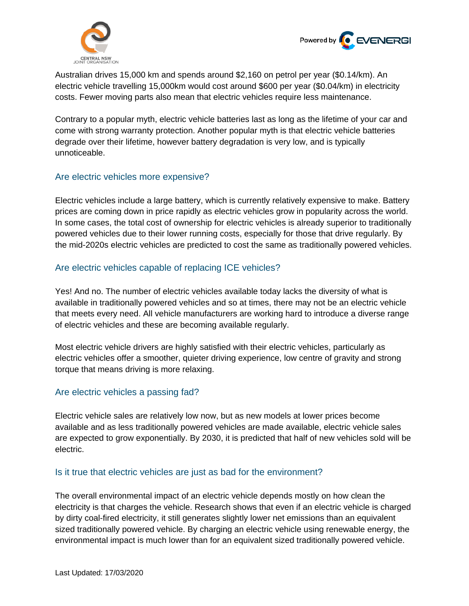



Australian drives 15,000 km and spends around \$2,160 on petrol per year (\$0.14/km). An electric vehicle travelling 15,000km would cost around \$600 per year (\$0.04/km) in electricity costs. Fewer moving parts also mean that electric vehicles require less maintenance.

Contrary to a popular myth, electric vehicle batteries last as long as the lifetime of your car and come with strong warranty protection. Another popular myth is that electric vehicle batteries degrade over their lifetime, however battery degradation is very low, and is typically unnoticeable.

## Are electric vehicles more expensive?

Electric vehicles include a large battery, which is currently relatively expensive to make. Battery prices are coming down in price rapidly as electric vehicles grow in popularity across the world. In some cases, the total cost of ownership for electric vehicles is already superior to traditionally powered vehicles due to their lower running costs, especially for those that drive regularly. By the mid-2020s electric vehicles are predicted to cost the same as traditionally powered vehicles.

## Are electric vehicles capable of replacing ICE vehicles?

Yes! And no. The number of electric vehicles available today lacks the diversity of what is available in traditionally powered vehicles and so at times, there may not be an electric vehicle that meets every need. All vehicle manufacturers are working hard to introduce a diverse range of electric vehicles and these are becoming available regularly.

Most electric vehicle drivers are highly satisfied with their electric vehicles, particularly as electric vehicles offer a smoother, quieter driving experience, low centre of gravity and strong torque that means driving is more relaxing.

### Are electric vehicles a passing fad?

Electric vehicle sales are relatively low now, but as new models at lower prices become available and as less traditionally powered vehicles are made available, electric vehicle sales are expected to grow exponentially. By 2030, it is predicted that half of new vehicles sold will be electric.

### Is it true that electric vehicles are just as bad for the environment?

The overall environmental impact of an electric vehicle depends mostly on how clean the electricity is that charges the vehicle. Research shows that even if an electric vehicle is charged by dirty coal-fired electricity, it still generates slightly lower net emissions than an equivalent sized traditionally powered vehicle. By charging an electric vehicle using renewable energy, the environmental impact is much lower than for an equivalent sized traditionally powered vehicle.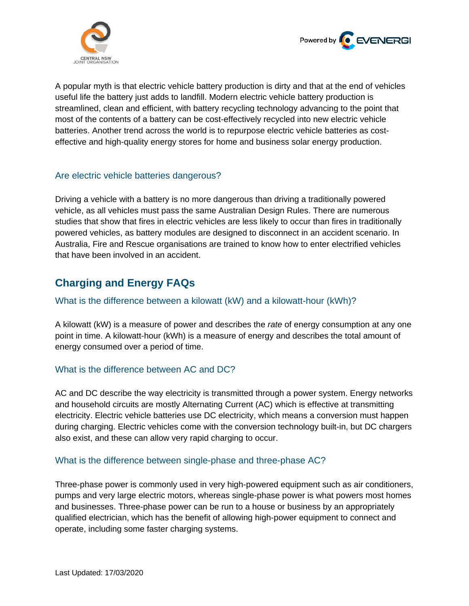



A popular myth is that electric vehicle battery production is dirty and that at the end of vehicles useful life the battery just adds to landfill. Modern electric vehicle battery production is streamlined, clean and efficient, with battery recycling technology advancing to the point that most of the contents of a battery can be cost-effectively recycled into new electric vehicle batteries. Another trend across the world is to repurpose electric vehicle batteries as costeffective and high-quality energy stores for home and business solar energy production.

## Are electric vehicle batteries dangerous?

Driving a vehicle with a battery is no more dangerous than driving a traditionally powered vehicle, as all vehicles must pass the same Australian Design Rules. There are numerous studies that show that fires in electric vehicles are less likely to occur than fires in traditionally powered vehicles, as battery modules are designed to disconnect in an accident scenario. In Australia, Fire and Rescue organisations are trained to know how to enter electrified vehicles that have been involved in an accident.

## **Charging and Energy FAQs**

### What is the difference between a kilowatt (kW) and a kilowatt-hour (kWh)?

A kilowatt (kW) is a measure of power and describes the *rate* of energy consumption at any one point in time. A kilowatt-hour (kWh) is a measure of energy and describes the total amount of energy consumed over a period of time.

## What is the difference between AC and DC?

AC and DC describe the way electricity is transmitted through a power system. Energy networks and household circuits are mostly Alternating Current (AC) which is effective at transmitting electricity. Electric vehicle batteries use DC electricity, which means a conversion must happen during charging. Electric vehicles come with the conversion technology built-in, but DC chargers also exist, and these can allow very rapid charging to occur.

## What is the difference between single-phase and three-phase AC?

Three-phase power is commonly used in very high-powered equipment such as air conditioners, pumps and very large electric motors, whereas single-phase power is what powers most homes and businesses. Three-phase power can be run to a house or business by an appropriately qualified electrician, which has the benefit of allowing high-power equipment to connect and operate, including some faster charging systems.